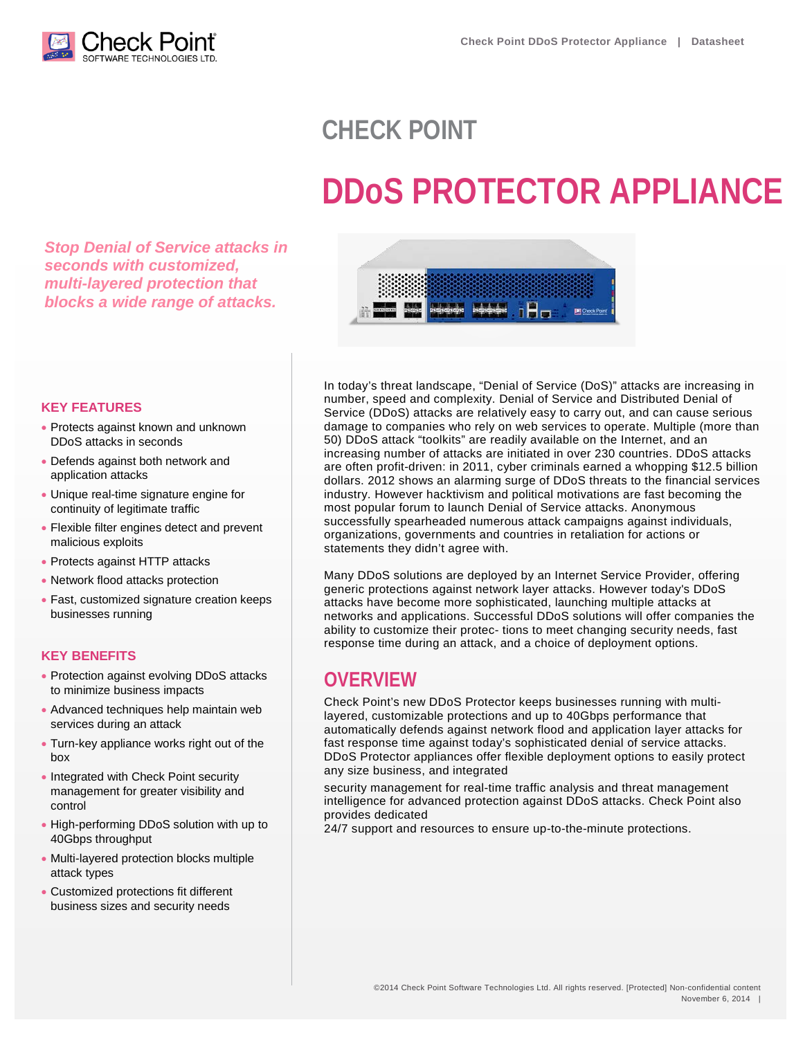

# **CHECK POINT**

# **DDoS PROTECTOR APPLIANCE**

*Stop Denial of Service attacks in seconds with customized, multi-layered protection that blocks a wide range of attacks.*



#### **KEY FEATURES**

- Protects against known and unknown DDoS attacks in seconds
- Defends against both network and application attacks
- Unique real-time signature engine for continuity of legitimate traffic
- Flexible filter engines detect and prevent malicious exploits
- Protects against HTTP attacks
- Network flood attacks protection
- Fast, customized signature creation keeps businesses running

### **KEY BENEFITS**

- Protection against evolving DDoS attacks to minimize business impacts
- Advanced techniques help maintain web services during an attack
- Turn-key appliance works right out of the box
- Integrated with Check Point security management for greater visibility and control
- High-performing DDoS solution with up to 40Gbps throughput
- Multi-layered protection blocks multiple attack types
- Customized protections fit different business sizes and security needs

In today's threat landscape, "Denial of Service (DoS)" attacks are increasing in number, speed and complexity. Denial of Service and Distributed Denial of Service (DDoS) attacks are relatively easy to carry out, and can cause serious damage to companies who rely on web services to operate. Multiple (more than 50) DDoS attack "toolkits" are readily available on the Internet, and an increasing number of attacks are initiated in over 230 countries. DDoS attacks are often profit-driven: in 2011, cyber criminals earned a whopping \$12.5 billion dollars. 2012 shows an alarming surge of DDoS threats to the financial services industry. However hacktivism and political motivations are fast becoming the most popular forum to launch Denial of Service attacks. Anonymous successfully spearheaded numerous attack campaigns against individuals, organizations, governments and countries in retaliation for actions or statements they didn't agree with.

Many DDoS solutions are deployed by an Internet Service Provider, offering generic protections against network layer attacks. However today's DDoS attacks have become more sophisticated, launching multiple attacks at networks and applications. Successful DDoS solutions will offer companies the ability to customize their protec- tions to meet changing security needs, fast response time during an attack, and a choice of deployment options.

# **OVERVIEW**

Check Point's new DDoS Protector keeps businesses running with multilayered, customizable protections and up to 40Gbps performance that automatically defends against network flood and application layer attacks for fast response time against today's sophisticated denial of service attacks. DDoS Protector appliances offer flexible deployment options to easily protect any size business, and integrated

security management for real-time traffic analysis and threat management intelligence for advanced protection against DDoS attacks. Check Point also provides dedicated

24/7 support and resources to ensure up-to-the-minute protections.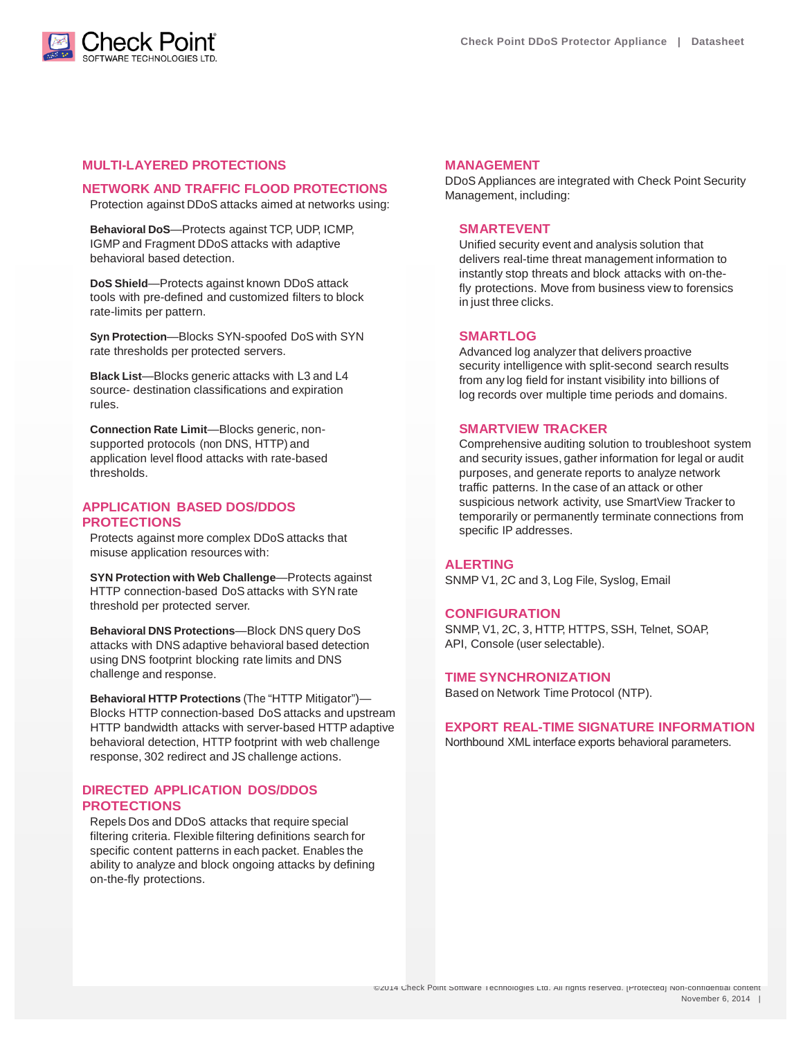

#### **MULTI-LAYERED PROTECTIONS**

#### **NETWORK AND TRAFFIC FLOOD PROTECTIONS**

Protection against DDoS attacks aimed at networks using:

**Behavioral DoS**—Protects against TCP, UDP, ICMP, IGMP and Fragment DDoS attacks with adaptive behavioral based detection.

**DoS Shield**—Protects against known DDoS attack tools with pre-defined and customized filters to block rate-limits per pattern.

**Syn Protection**—Blocks SYN-spoofed DoS with SYN rate thresholds per protected servers.

**Black List**—Blocks generic attacks with L3 and L4 source- destination classifications and expiration rules.

**Connection Rate Limit**—Blocks generic, nonsupported protocols (non DNS, HTTP) and application level flood attacks with rate-based thresholds.

#### **APPLICATION BASED DOS/DDOS PROTECTIONS**

Protects against more complex DDoS attacks that misuse application resources with:

**SYN Protection with Web Challenge**—Protects against HTTP connection-based DoS attacks with SYN rate threshold per protected server.

**Behavioral DNS Protections**—Block DNS query DoS attacks with DNS adaptive behavioral based detection using DNS footprint blocking rate limits and DNS challenge and response.

**Behavioral HTTP Protections** (The "HTTP Mitigator")— Blocks HTTP connection-based DoS attacks and upstream HTTP bandwidth attacks with server-based HTTP adaptive behavioral detection, HTTP footprint with web challenge response, 302 redirect and JS challenge actions.

#### **DIRECTED APPLICATION DOS/DDOS PROTECTIONS**

Repels Dos and DDoS attacks that require special filtering criteria. Flexible filtering definitions search for specific content patterns in each packet. Enables the ability to analyze and block ongoing attacks by defining on-the-fly protections.

#### **MANAGEMENT**

DDoS Appliances are integrated with Check Point Security Management, including:

#### **SMARTEVENT**

Unified security event and analysis solution that delivers real-time threat management information to instantly stop threats and block attacks with on-thefly protections. Move from business view to forensics in just three clicks.

#### **SMARTLOG**

Advanced log analyzer that delivers proactive security intelligence with split-second search results from any log field for instant visibility into billions of log records over multiple time periods and domains.

#### **SMARTVIEW TRACKER**

Comprehensive auditing solution to troubleshoot system and security issues, gather information for legal or audit purposes, and generate reports to analyze network traffic patterns. In the case of an attack or other suspicious network activity, use SmartView Tracker to temporarily or permanently terminate connections from specific IP addresses.

#### **ALERTING**

SNMP V1, 2C and 3, Log File, Syslog, Email

#### **CONFIGURATION**

SNMP, V1, 2C, 3, HTTP, HTTPS, SSH, Telnet, SOAP, API, Console (user selectable).

#### **TIME SYNCHRONIZATION**

Based on Network Time Protocol (NTP).

#### **EXPORT REAL-TIME SIGNATURE INFORMATION**

Northbound XML interface exports behavioral parameters.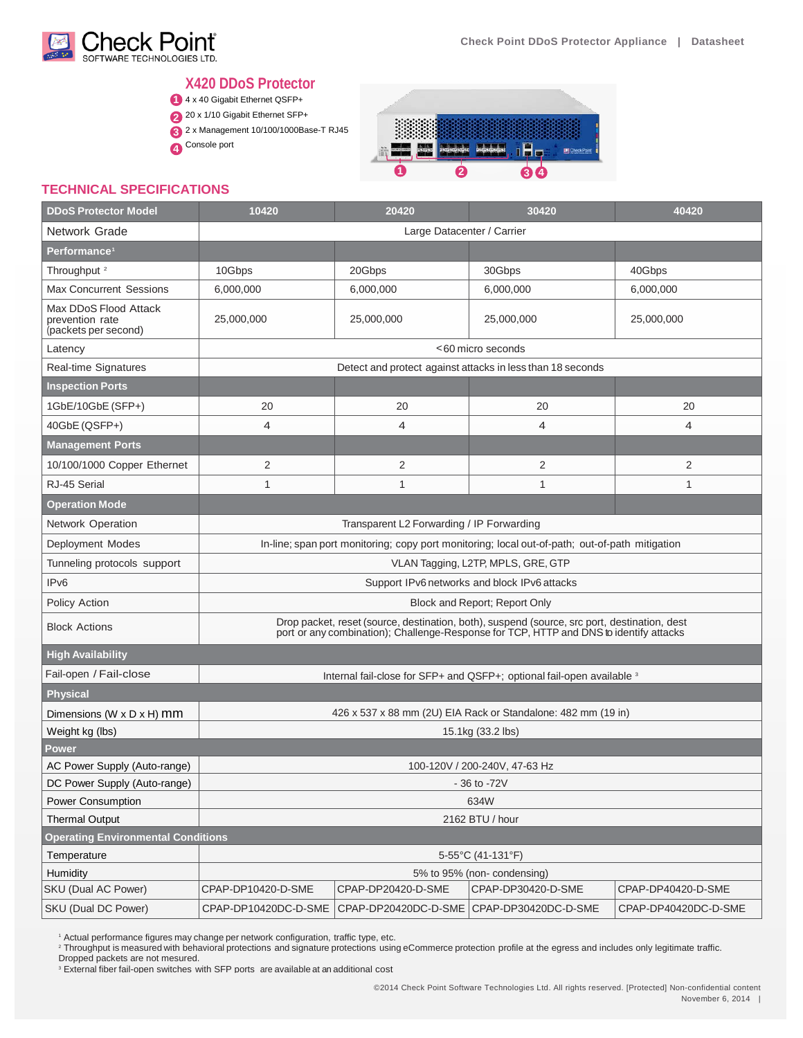

## **X420 DDoS Protector**

- 4 x 40 Gigabit Ethernet QSFP+ **1**
- 20 x 1/10 Gigabit Ethernet SFP+
- 2 x Management 10/100/1000Base-T RJ45 **3**
- Console port **4**



#### **TECHNICAL SPECIFICATIONS**

| <b>DDoS Protector Model</b>                                      | 10420                                                                                                                                                                                  | 20420                | 30420                | 40420                |  |  |
|------------------------------------------------------------------|----------------------------------------------------------------------------------------------------------------------------------------------------------------------------------------|----------------------|----------------------|----------------------|--|--|
| Network Grade                                                    | Large Datacenter / Carrier                                                                                                                                                             |                      |                      |                      |  |  |
| Performance <sup>1</sup>                                         |                                                                                                                                                                                        |                      |                      |                      |  |  |
| Throughput <sup>2</sup>                                          | 10Gbps                                                                                                                                                                                 | 20Gbps               | 30Gbps               | 40Gbps               |  |  |
| <b>Max Concurrent Sessions</b>                                   | 6,000,000                                                                                                                                                                              | 6,000,000            | 6,000,000            | 6,000,000            |  |  |
| Max DDoS Flood Attack<br>prevention rate<br>(packets per second) | 25,000,000                                                                                                                                                                             | 25,000,000           | 25,000,000           | 25,000,000           |  |  |
| Latency                                                          | <60 micro seconds                                                                                                                                                                      |                      |                      |                      |  |  |
| Real-time Signatures                                             | Detect and protect against attacks in less than 18 seconds                                                                                                                             |                      |                      |                      |  |  |
| <b>Inspection Ports</b>                                          |                                                                                                                                                                                        |                      |                      |                      |  |  |
| 1GbE/10GbE (SFP+)                                                | 20                                                                                                                                                                                     | 20                   | 20                   | 20                   |  |  |
| 40GbE (QSFP+)                                                    | $\overline{4}$                                                                                                                                                                         | $\overline{4}$       | 4                    | $\overline{4}$       |  |  |
| <b>Management Ports</b>                                          |                                                                                                                                                                                        |                      |                      |                      |  |  |
| 10/100/1000 Copper Ethernet                                      | $\overline{2}$                                                                                                                                                                         | 2                    | 2                    | 2                    |  |  |
| RJ-45 Serial                                                     | 1                                                                                                                                                                                      | 1                    | 1                    | 1                    |  |  |
| <b>Operation Mode</b>                                            |                                                                                                                                                                                        |                      |                      |                      |  |  |
| Network Operation                                                | Transparent L2 Forwarding / IP Forwarding                                                                                                                                              |                      |                      |                      |  |  |
| Deployment Modes                                                 | In-line; span port monitoring; copy port monitoring; local out-of-path; out-of-path mitigation                                                                                         |                      |                      |                      |  |  |
| Tunneling protocols support                                      | VLAN Tagging, L2TP, MPLS, GRE, GTP                                                                                                                                                     |                      |                      |                      |  |  |
| IP <sub>v6</sub>                                                 | Support IPv6 networks and block IPv6 attacks                                                                                                                                           |                      |                      |                      |  |  |
| Policy Action                                                    | Block and Report; Report Only                                                                                                                                                          |                      |                      |                      |  |  |
| <b>Block Actions</b>                                             | Drop packet, reset (source, destination, both), suspend (source, src port, destination, dest<br>port or any combination); Challenge-Response for TCP, HTTP and DNS to identify attacks |                      |                      |                      |  |  |
| <b>High Availability</b>                                         |                                                                                                                                                                                        |                      |                      |                      |  |  |
| Fail-open / Fail-close                                           | Internal fail-close for SFP+ and QSFP+; optional fail-open available 3                                                                                                                 |                      |                      |                      |  |  |
| <b>Physical</b>                                                  |                                                                                                                                                                                        |                      |                      |                      |  |  |
| Dimensions (W x D x H) mm                                        | 426 x 537 x 88 mm (2U) EIA Rack or Standalone: 482 mm (19 in)                                                                                                                          |                      |                      |                      |  |  |
| Weight kg (lbs)                                                  | 15.1kg (33.2 lbs)                                                                                                                                                                      |                      |                      |                      |  |  |
| Power                                                            |                                                                                                                                                                                        |                      |                      |                      |  |  |
| AC Power Supply (Auto-range)                                     | 100-120V / 200-240V, 47-63 Hz                                                                                                                                                          |                      |                      |                      |  |  |
| DC Power Supply (Auto-range)                                     | - 36 to -72V                                                                                                                                                                           |                      |                      |                      |  |  |
| Power Consumption                                                | 634W                                                                                                                                                                                   |                      |                      |                      |  |  |
| <b>Thermal Output</b>                                            | 2162 BTU / hour                                                                                                                                                                        |                      |                      |                      |  |  |
| <b>Operating Environmental Conditions</b>                        |                                                                                                                                                                                        |                      |                      |                      |  |  |
| Temperature                                                      | 5-55°C (41-131°F)                                                                                                                                                                      |                      |                      |                      |  |  |
| Humidity<br>SKU (Dual AC Power)                                  | 5% to 95% (non-condensing)<br>CPAP-DP30420-D-SME<br>CPAP-DP40420-D-SME<br>CPAP-DP10420-D-SME<br>CPAP-DP20420-D-SME                                                                     |                      |                      |                      |  |  |
| SKU (Dual DC Power)                                              | CPAP-DP10420DC-D-SME                                                                                                                                                                   | CPAP-DP20420DC-D-SME | CPAP-DP30420DC-D-SME | CPAP-DP40420DC-D-SME |  |  |
|                                                                  |                                                                                                                                                                                        |                      |                      |                      |  |  |

1 Actual performance figures may change per network configuration, traffic type, etc.

<sup>2</sup> Throughput is measured with behavioral protections and signature protections using eCommerce protection profile at the egress and includes only legitimate traffic.

Dropped packets are not mesured.

<sup>3</sup> External fiber fail-open switches with SFP ports are available at an additional cost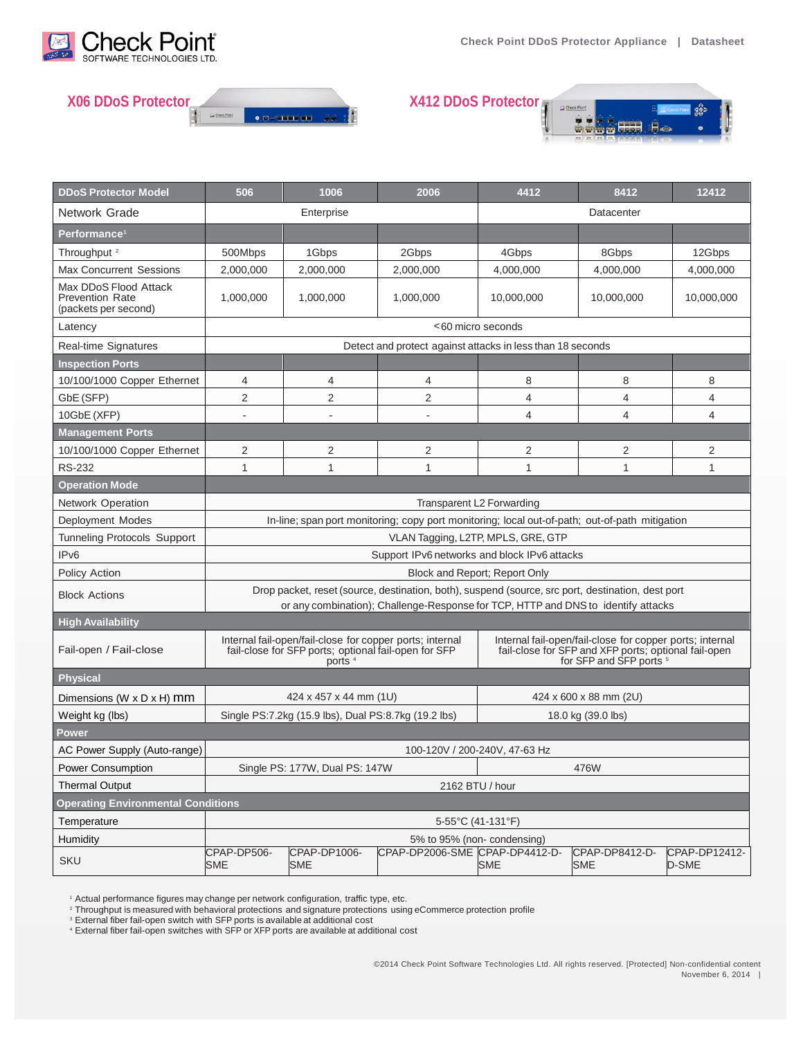





| <b>DDoS Protector Model</b>                                             | 506                                                                                                                                                                                    | 1006                       | 2006                           | 4412                                                                                                                                                   | 8412                         | 12412                  |  |
|-------------------------------------------------------------------------|----------------------------------------------------------------------------------------------------------------------------------------------------------------------------------------|----------------------------|--------------------------------|--------------------------------------------------------------------------------------------------------------------------------------------------------|------------------------------|------------------------|--|
| Network Grade                                                           | Enterprise                                                                                                                                                                             |                            |                                |                                                                                                                                                        | Datacenter                   |                        |  |
| Performance <sup>1</sup>                                                |                                                                                                                                                                                        |                            |                                |                                                                                                                                                        |                              |                        |  |
| Throughput <sup>2</sup>                                                 | 500Mbps                                                                                                                                                                                | 1Gbps                      | 2Gbps                          | 4Gbps                                                                                                                                                  | 8Gbps                        | 12Gbps                 |  |
| <b>Max Concurrent Sessions</b>                                          | 2,000,000                                                                                                                                                                              | 2.000.000                  | 2.000.000                      | 4.000.000                                                                                                                                              | 4,000,000                    | 4,000,000              |  |
| Max DDoS Flood Attack<br><b>Prevention Rate</b><br>(packets per second) | 1,000,000                                                                                                                                                                              | 1,000,000                  | 1,000,000                      | 10,000,000                                                                                                                                             | 10,000,000                   | 10,000,000             |  |
| Latency                                                                 | <60 micro seconds                                                                                                                                                                      |                            |                                |                                                                                                                                                        |                              |                        |  |
| <b>Real-time Signatures</b>                                             | Detect and protect against attacks in less than 18 seconds                                                                                                                             |                            |                                |                                                                                                                                                        |                              |                        |  |
| <b>Inspection Ports</b>                                                 |                                                                                                                                                                                        |                            |                                |                                                                                                                                                        |                              |                        |  |
| 10/100/1000 Copper Ethernet                                             | 4                                                                                                                                                                                      | 4                          | 4                              | 8                                                                                                                                                      | 8                            | 8                      |  |
| GbE (SFP)                                                               | 2                                                                                                                                                                                      | 2                          | 2                              | 4                                                                                                                                                      | 4                            | 4                      |  |
| 10GbE (XFP)                                                             |                                                                                                                                                                                        |                            |                                | 4                                                                                                                                                      | $\overline{4}$               | 4                      |  |
| <b>Management Ports</b>                                                 |                                                                                                                                                                                        |                            |                                |                                                                                                                                                        |                              |                        |  |
| 10/100/1000 Copper Ethernet                                             | 2                                                                                                                                                                                      | 2                          | 2                              | 2                                                                                                                                                      | 2                            | 2                      |  |
| <b>RS-232</b>                                                           | 1                                                                                                                                                                                      | 1                          | 1                              | 1                                                                                                                                                      | $\mathbf{1}$                 | 1                      |  |
| <b>Operation Mode</b>                                                   |                                                                                                                                                                                        |                            |                                |                                                                                                                                                        |                              |                        |  |
| <b>Network Operation</b>                                                | Transparent L2 Forwarding                                                                                                                                                              |                            |                                |                                                                                                                                                        |                              |                        |  |
| Deployment Modes                                                        | In-line; span port monitoring; copy port monitoring; local out-of-path; out-of-path mitigation                                                                                         |                            |                                |                                                                                                                                                        |                              |                        |  |
| <b>Tunneling Protocols Support</b>                                      | VLAN Tagging, L2TP, MPLS, GRE, GTP                                                                                                                                                     |                            |                                |                                                                                                                                                        |                              |                        |  |
| IP <sub>v6</sub>                                                        | Support IPv6 networks and block IPv6 attacks                                                                                                                                           |                            |                                |                                                                                                                                                        |                              |                        |  |
| Policy Action                                                           | Block and Report; Report Only                                                                                                                                                          |                            |                                |                                                                                                                                                        |                              |                        |  |
| <b>Block Actions</b>                                                    | Drop packet, reset (source, destination, both), suspend (source, src port, destination, dest port<br>or any combination); Challenge-Response for TCP, HTTP and DNS to identify attacks |                            |                                |                                                                                                                                                        |                              |                        |  |
| <b>High Availability</b>                                                |                                                                                                                                                                                        |                            |                                |                                                                                                                                                        |                              |                        |  |
| Fail-open / Fail-close                                                  | Internal fail-open/fail-close for copper ports; internal<br>fail-close for SFP ports; optional fail-open for SFP<br>ports                                                              |                            |                                | Internal fail-open/fail-close for copper ports; internal<br>fail-close for SFP and XFP ports; optional fail-open<br>for SFP and SFP ports <sup>5</sup> |                              |                        |  |
| <b>Physical</b>                                                         |                                                                                                                                                                                        |                            |                                |                                                                                                                                                        |                              |                        |  |
| Dimensions (W $\times$ D $\times$ H) mm                                 | 424 x 457 x 44 mm (1U)                                                                                                                                                                 |                            |                                | 424 x 600 x 88 mm (2U)                                                                                                                                 |                              |                        |  |
| Weight kg (lbs)                                                         | Single PS:7.2kg (15.9 lbs), Dual PS:8.7kg (19.2 lbs)<br>18.0 kg (39.0 lbs)                                                                                                             |                            |                                |                                                                                                                                                        |                              |                        |  |
| Power                                                                   |                                                                                                                                                                                        |                            |                                |                                                                                                                                                        |                              |                        |  |
| AC Power Supply (Auto-range)                                            | 100-120V / 200-240V, 47-63 Hz                                                                                                                                                          |                            |                                |                                                                                                                                                        |                              |                        |  |
| <b>Power Consumption</b>                                                | Single PS: 177W, Dual PS: 147W<br>476W                                                                                                                                                 |                            |                                |                                                                                                                                                        |                              |                        |  |
| <b>Thermal Output</b>                                                   | 2162 BTU / hour                                                                                                                                                                        |                            |                                |                                                                                                                                                        |                              |                        |  |
| <b>Operating Environmental Conditions</b>                               |                                                                                                                                                                                        |                            |                                |                                                                                                                                                        |                              |                        |  |
| Temperature                                                             | 5-55°C (41-131°F)                                                                                                                                                                      |                            |                                |                                                                                                                                                        |                              |                        |  |
| Humidity                                                                | 5% to 95% (non-condensing)                                                                                                                                                             |                            |                                |                                                                                                                                                        |                              |                        |  |
| SKU                                                                     | CPAP-DP506-<br><b>SME</b>                                                                                                                                                              | CPAP-DP1006-<br><b>SME</b> | CPAP-DP2006-SME CPAP-DP4412-D- | <b>SME</b>                                                                                                                                             | CPAP-DP8412-D-<br><b>SME</b> | CPAP-DP12412-<br>D-SME |  |

<sup>1</sup> Actual performance figures may change per network configuration, traffic type, etc.

<sup>2</sup> Throughput is measured with behavioral protections and signature protections using eCommerce protection profile<br><sup>3</sup> External fiber fail-open switch with SFP ports is available at additional cost

<sup>4</sup> External fiber fail-open switches with SFP or XFP ports are available at additional cost